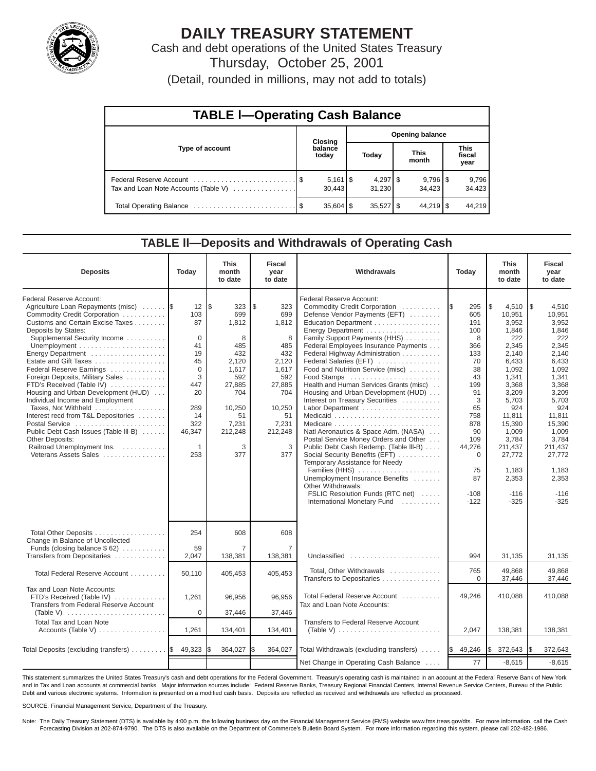

# **DAILY TREASURY STATEMENT**

Cash and debt operations of the United States Treasury Thursday, October 25, 2001

(Detail, rounded in millions, may not add to totals)

| <b>TABLE I-Operating Cash Balance</b> |  |                                 |                        |             |  |                                 |                               |                 |  |  |
|---------------------------------------|--|---------------------------------|------------------------|-------------|--|---------------------------------|-------------------------------|-----------------|--|--|
|                                       |  | <b>Closing</b>                  | <b>Opening balance</b> |             |  |                                 |                               |                 |  |  |
| Type of account                       |  | balance<br>today                |                        | Today       |  | <b>This</b><br>month            | <b>This</b><br>fiscal<br>year |                 |  |  |
| Tax and Loan Note Accounts (Table V)  |  | $5,161$ $\frac{1}{3}$<br>30.443 |                        | 31,230      |  | $9,796$ $\frac{8}{3}$<br>34.423 |                               | 9,796<br>34,423 |  |  |
|                                       |  | $35,604$ \$                     |                        | $35,527$ \$ |  | $44,219$ $\sqrt{5}$             |                               | 44.219          |  |  |

### **TABLE ll—Deposits and Withdrawals of Operating Cash**

| <b>Deposits</b>                                                                                                                                                                                                                                                                                                                                                                                                                                                                                                                                                                                                    | Today                                                                                                                    | <b>This</b><br>month<br>to date                                                                                                         | <b>Fiscal</b><br>year<br>to date                                                                                                       | Withdrawals                                                                                                                                                                                                                                                                                                                                                                                                                                                                                                                                                                                                                                                                                                                                                                                                           |                                                                                                                                                                                  | <b>This</b><br>Today<br>month<br>to date                                                                                                                                                                                        |                                                                                                                                                                                                                                 |
|--------------------------------------------------------------------------------------------------------------------------------------------------------------------------------------------------------------------------------------------------------------------------------------------------------------------------------------------------------------------------------------------------------------------------------------------------------------------------------------------------------------------------------------------------------------------------------------------------------------------|--------------------------------------------------------------------------------------------------------------------------|-----------------------------------------------------------------------------------------------------------------------------------------|----------------------------------------------------------------------------------------------------------------------------------------|-----------------------------------------------------------------------------------------------------------------------------------------------------------------------------------------------------------------------------------------------------------------------------------------------------------------------------------------------------------------------------------------------------------------------------------------------------------------------------------------------------------------------------------------------------------------------------------------------------------------------------------------------------------------------------------------------------------------------------------------------------------------------------------------------------------------------|----------------------------------------------------------------------------------------------------------------------------------------------------------------------------------|---------------------------------------------------------------------------------------------------------------------------------------------------------------------------------------------------------------------------------|---------------------------------------------------------------------------------------------------------------------------------------------------------------------------------------------------------------------------------|
| Federal Reserve Account:<br>Agriculture Loan Repayments (misc)<br>Commodity Credit Corporation<br>Customs and Certain Excise Taxes<br>Deposits by States:<br>Supplemental Security Income<br>Energy Department<br>Estate and Gift Taxes<br>Federal Reserve Earnings<br>Foreign Deposits, Military Sales<br>FTD's Received (Table IV)<br>Housing and Urban Development (HUD)<br>Individual Income and Employment<br>Taxes, Not Withheld<br>Interest recd from T&L Depositories<br>Postal Service<br>Public Debt Cash Issues (Table III-B)<br>Other Deposits:<br>Railroad Unemployment Ins.<br>Veterans Assets Sales | 12<br>103<br>87<br>$\mathbf 0$<br>41<br>19<br>45<br>$\Omega$<br>3<br>447<br>20<br>289<br>14<br>322<br>46,347<br>1<br>253 | l\$<br>323<br>699<br>1,812<br>8<br>485<br>432<br>2,120<br>1,617<br>592<br>27,885<br>704<br>10,250<br>51<br>7,231<br>212,248<br>3<br>377 | \$<br>323<br>699<br>1,812<br>8<br>485<br>432<br>2,120<br>1,617<br>592<br>27,885<br>704<br>10,250<br>51<br>7,231<br>212,248<br>3<br>377 | Federal Reserve Account:<br>Commodity Credit Corporation<br>Defense Vendor Payments (EFT)<br>Education Department<br>Energy Department<br>Family Support Payments (HHS)<br>Federal Employees Insurance Payments<br>Federal Highway Administration<br>Federal Salaries (EFT)<br>Food and Nutrition Service (misc)<br>Food Stamps<br>Health and Human Services Grants (misc)<br>Housing and Urban Development (HUD)<br>Interest on Treasury Securities<br>Labor Department<br>Natl Aeronautics & Space Adm. (NASA)<br>Postal Service Money Orders and Other<br>Public Debt Cash Redemp. (Table III-B)<br>Social Security Benefits (EFT)<br>Temporary Assistance for Needy<br>Families (HHS)<br>Unemployment Insurance Benefits<br>Other Withdrawals:<br>FSLIC Resolution Funds (RTC net)<br>International Monetary Fund | 295<br>1\$<br>605<br>191<br>100<br>8<br>366<br>133<br>70<br>38<br>43<br>199<br>91<br>3<br>65<br>758<br>878<br>90<br>109<br>44,276<br>$\mathbf 0$<br>75<br>87<br>$-108$<br>$-122$ | 1\$<br>4,510<br>10,951<br>3,952<br>1,846<br>222<br>2,345<br>2,140<br>6,433<br>1,092<br>1,341<br>3,368<br>3,209<br>5,703<br>924<br>11,811<br>15,390<br>1,009<br>3,784<br>211,437<br>27,772<br>1.183<br>2,353<br>$-116$<br>$-325$ | 1\$<br>4,510<br>10,951<br>3,952<br>1,846<br>222<br>2,345<br>2,140<br>6,433<br>1,092<br>1,341<br>3,368<br>3,209<br>5,703<br>924<br>11,811<br>15,390<br>1,009<br>3,784<br>211,437<br>27.772<br>1.183<br>2,353<br>$-116$<br>$-325$ |
| Total Other Deposits<br>Change in Balance of Uncollected<br>Funds (closing balance $$62)$<br>Transfers from Depositaries                                                                                                                                                                                                                                                                                                                                                                                                                                                                                           | 254<br>59<br>2,047                                                                                                       | 608<br>$\overline{7}$                                                                                                                   | 608<br>7<br>138,381                                                                                                                    | Unclassified                                                                                                                                                                                                                                                                                                                                                                                                                                                                                                                                                                                                                                                                                                                                                                                                          | 994                                                                                                                                                                              |                                                                                                                                                                                                                                 |                                                                                                                                                                                                                                 |
| Total Federal Reserve Account                                                                                                                                                                                                                                                                                                                                                                                                                                                                                                                                                                                      | 50,110                                                                                                                   | 138,381<br>405,453                                                                                                                      | 405,453                                                                                                                                | Total, Other Withdrawals<br>Transfers to Depositaries                                                                                                                                                                                                                                                                                                                                                                                                                                                                                                                                                                                                                                                                                                                                                                 | 765<br>$\Omega$                                                                                                                                                                  | 31,135<br>49.868<br>37,446                                                                                                                                                                                                      | 31,135<br>49.868<br>37,446                                                                                                                                                                                                      |
| Tax and Loan Note Accounts:<br>FTD's Received (Table IV)<br>Transfers from Federal Reserve Account<br>(Table V)                                                                                                                                                                                                                                                                                                                                                                                                                                                                                                    | 1,261<br>0                                                                                                               | 96,956<br>37,446                                                                                                                        | 96,956<br>37,446                                                                                                                       | Total Federal Reserve Account<br>Tax and Loan Note Accounts:                                                                                                                                                                                                                                                                                                                                                                                                                                                                                                                                                                                                                                                                                                                                                          | 49,246                                                                                                                                                                           | 410,088                                                                                                                                                                                                                         | 410,088                                                                                                                                                                                                                         |
| <b>Total Tax and Loan Note</b><br>Accounts (Table V)                                                                                                                                                                                                                                                                                                                                                                                                                                                                                                                                                               | 1,261                                                                                                                    | 134,401                                                                                                                                 | 134,401                                                                                                                                | Transfers to Federal Reserve Account<br>(Table V) $\ldots \ldots \ldots \ldots \ldots \ldots \ldots \ldots$                                                                                                                                                                                                                                                                                                                                                                                                                                                                                                                                                                                                                                                                                                           | 2,047                                                                                                                                                                            | 138,381                                                                                                                                                                                                                         | 138,381                                                                                                                                                                                                                         |
| Total Deposits (excluding transfers) $\ldots \ldots$ . $\frac{1}{3}$ 49,323                                                                                                                                                                                                                                                                                                                                                                                                                                                                                                                                        |                                                                                                                          | 364,027                                                                                                                                 | 364,027                                                                                                                                | Total Withdrawals (excluding transfers)                                                                                                                                                                                                                                                                                                                                                                                                                                                                                                                                                                                                                                                                                                                                                                               | 49,246<br>I\$                                                                                                                                                                    | I\$<br>372,643                                                                                                                                                                                                                  | 372,643<br>I\$                                                                                                                                                                                                                  |
|                                                                                                                                                                                                                                                                                                                                                                                                                                                                                                                                                                                                                    |                                                                                                                          |                                                                                                                                         |                                                                                                                                        | Net Change in Operating Cash Balance                                                                                                                                                                                                                                                                                                                                                                                                                                                                                                                                                                                                                                                                                                                                                                                  | 77                                                                                                                                                                               | $-8,615$                                                                                                                                                                                                                        | $-8,615$                                                                                                                                                                                                                        |

This statement summarizes the United States Treasury's cash and debt operations for the Federal Government. Treasury's operating cash is maintained in an account at the Federal Reserve Bank of New York and in Tax and Loan accounts at commercial banks. Major information sources include: Federal Reserve Banks, Treasury Regional Financial Centers, Internal Revenue Service Centers, Bureau of the Public Debt and various electronic systems. Information is presented on a modified cash basis. Deposits are reflected as received and withdrawals are reflected as processed.

SOURCE: Financial Management Service, Department of the Treasury.

Note: The Daily Treasury Statement (DTS) is available by 4:00 p.m. the following business day on the Financial Management Service (FMS) website www.fms.treas.gov/dts. For more information, call the Cash Forecasting Division at 202-874-9790. The DTS is also available on the Department of Commerce's Bulletin Board System. For more information regarding this system, please call 202-482-1986.